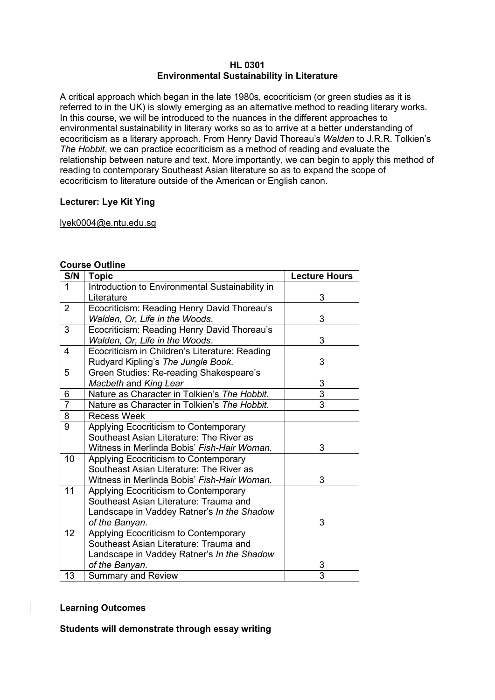#### **HL 0301 Environmental Sustainability in Literature**

A critical approach which began in the late 1980s, ecocriticism (or green studies as it is referred to in the UK) is slowly emerging as an alternative method to reading literary works. In this course, we will be introduced to the nuances in the different approaches to environmental sustainability in literary works so as to arrive at a better understanding of ecocriticism as a literary approach. From Henry David Thoreau's *Walden* to J.R.R. Tolkien's *The Hobbit*, we can practice ecocriticism as a method of reading and evaluate the relationship between nature and text. More importantly, we can begin to apply this method of reading to contemporary Southeast Asian literature so as to expand the scope of ecocriticism to literature outside of the American or English canon.

# **Lecturer: Lye Kit Ying**

# lyek0004@e.ntu.edu.sg

# **Course Outline**

| S/N            | <b>Topic</b>                                    | <b>Lecture Hours</b> |
|----------------|-------------------------------------------------|----------------------|
| 1              | Introduction to Environmental Sustainability in |                      |
|                | Literature                                      | 3                    |
| $\overline{2}$ | Ecocriticism: Reading Henry David Thoreau's     |                      |
|                | Walden, Or, Life in the Woods.                  | 3                    |
| 3              | Ecocriticism: Reading Henry David Thoreau's     |                      |
|                | Walden, Or, Life in the Woods.                  | 3                    |
| 4              | Ecocriticism in Children's Literature: Reading  |                      |
|                | Rudyard Kipling's The Jungle Book.              | 3                    |
| 5              | Green Studies: Re-reading Shakespeare's         |                      |
|                | Macbeth and King Lear                           | 3                    |
| 6              | Nature as Character in Tolkien's The Hobbit.    | $\overline{3}$       |
| $\overline{7}$ | Nature as Character in Tolkien's The Hobbit.    | $\overline{3}$       |
| 8              | <b>Recess Week</b>                              |                      |
| 9              | Applying Ecocriticism to Contemporary           |                      |
|                | Southeast Asian Literature: The River as        |                      |
|                | Witness in Merlinda Bobis' Fish-Hair Woman.     | 3                    |
| 10             | Applying Ecocriticism to Contemporary           |                      |
|                | Southeast Asian Literature: The River as        |                      |
|                | Witness in Merlinda Bobis' Fish-Hair Woman.     | 3                    |
| 11             | Applying Ecocriticism to Contemporary           |                      |
|                | Southeast Asian Literature: Trauma and          |                      |
|                | Landscape in Vaddey Ratner's In the Shadow      |                      |
|                | of the Banyan.                                  | 3                    |
| 12             | Applying Ecocriticism to Contemporary           |                      |
|                | Southeast Asian Literature: Trauma and          |                      |
|                | Landscape in Vaddey Ratner's In the Shadow      |                      |
|                | of the Banyan.                                  | 3                    |
| 13             | <b>Summary and Review</b>                       | 3                    |

# **Learning Outcomes**

# **Students will demonstrate through essay writing**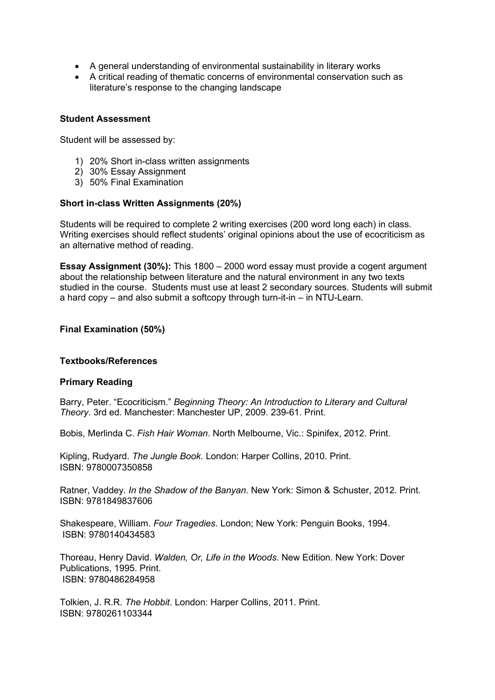- A general understanding of environmental sustainability in literary works
- A critical reading of thematic concerns of environmental conservation such as literature's response to the changing landscape

## **Student Assessment**

Student will be assessed by:

- 1) 20% Short in-class written assignments
- 2) 30% Essay Assignment
- 3) 50% Final Examination

## **Short in-class Written Assignments (20%)**

Students will be required to complete 2 writing exercises (200 word long each) in class. Writing exercises should reflect students' original opinions about the use of ecocriticism as an alternative method of reading.

**Essay Assignment (30%):** This 1800 – 2000 word essay must provide a cogent argument about the relationship between literature and the natural environment in any two texts studied in the course. Students must use at least 2 secondary sources. Students will submit a hard copy – and also submit a softcopy through turn-it-in – in NTU-Learn.

## **Final Examination (50%)**

#### **Textbooks/References**

# **Primary Reading**

Barry, Peter. "Ecocriticism." *Beginning Theory: An Introduction to Literary and Cultural Theory*. 3rd ed. Manchester: Manchester UP, 2009. 239-61. Print.

Bobis, Merlinda C. *Fish Hair Woman*. North Melbourne, Vic.: Spinifex, 2012. Print.

Kipling, Rudyard. *The Jungle Book*. London: Harper Collins, 2010. Print. ISBN: 9780007350858

Ratner, Vaddey. *In the Shadow of the Banyan*. New York: Simon & Schuster, 2012. Print. ISBN: 9781849837606

Shakespeare, William. *Four Tragedies*. London; New York: Penguin Books, 1994. ISBN: 9780140434583

Thoreau, Henry David. *Walden, Or, Life in the Woods*. New Edition. New York: Dover Publications, 1995. Print. ISBN: 9780486284958

Tolkien, J. R.R. *The Hobbit*. London: Harper Collins, 2011. Print. ISBN: 9780261103344